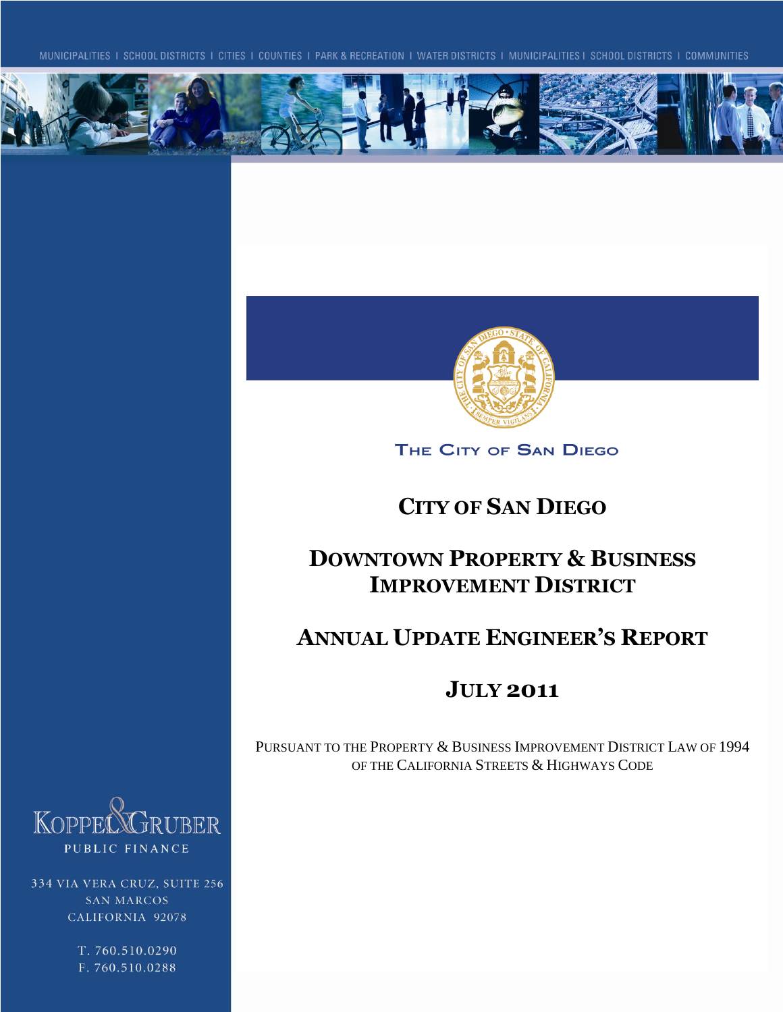



THE CITY OF SAN DIEGO

# **CITY OF SAN DIEGO**

# **DOWNTOWN PROPERTY & BUSINESS IMPROVEMENT DISTRICT**

# **ANNUAL UPDATE ENGINEER'S REPORT**

# **JULY 2011**

PURSUANT TO THE PROPERTY & BUSINESS IMPROVEMENT DISTRICT LAW OF 1994 OF THE CALIFORNIA STREETS & HIGHWAYS CODE



334 VIA VERA CRUZ, SUITE 256 **SAN MARCOS** CALIFORNIA 92078

> T. 760.510.0290 F. 760.510.0288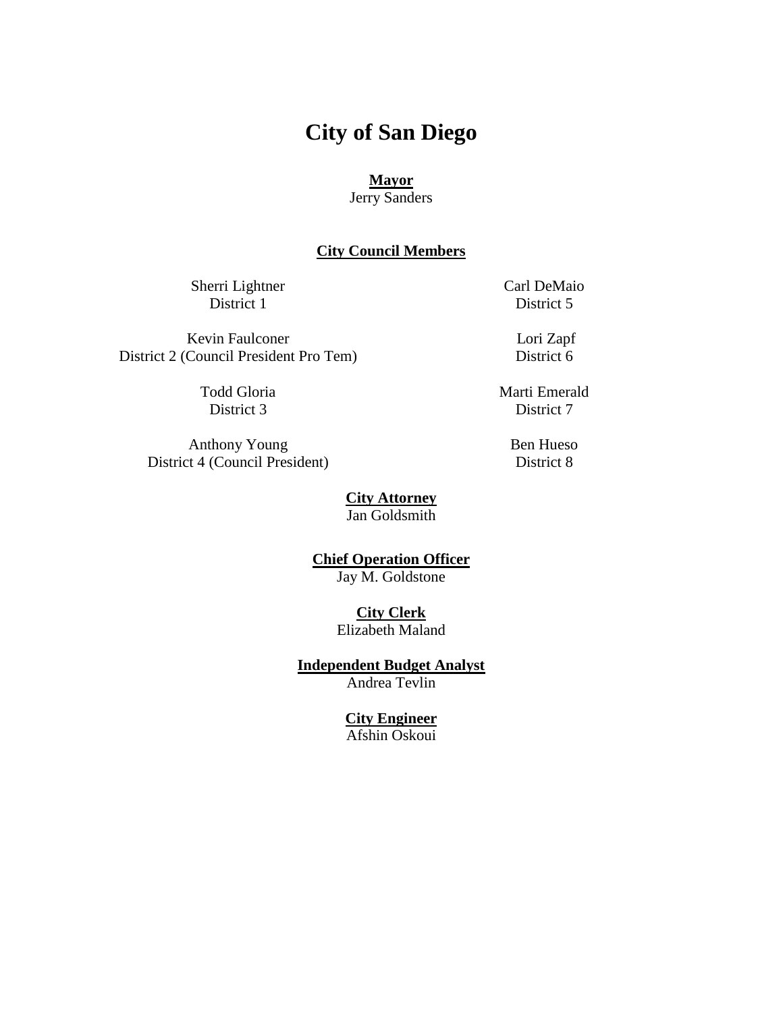# **City of San Diego**

#### **Mayor**

Jerry Sanders

#### **City Council Members**

Sherri Lightner District 1

Carl DeMaio District 5

Kevin Faulconer District 2 (Council President Pro Tem)

> Todd Gloria District 3

Anthony Young District 4 (Council President) Lori Zapf District 6

Marti Emerald District 7

> Ben Hueso District 8

**City Attorney** Jan Goldsmith

**Chief Operation Officer** Jay M. Goldstone

> **City Clerk** Elizabeth Maland

**Independent Budget Analyst** Andrea Tevlin

#### **City Engineer**

Afshin Oskoui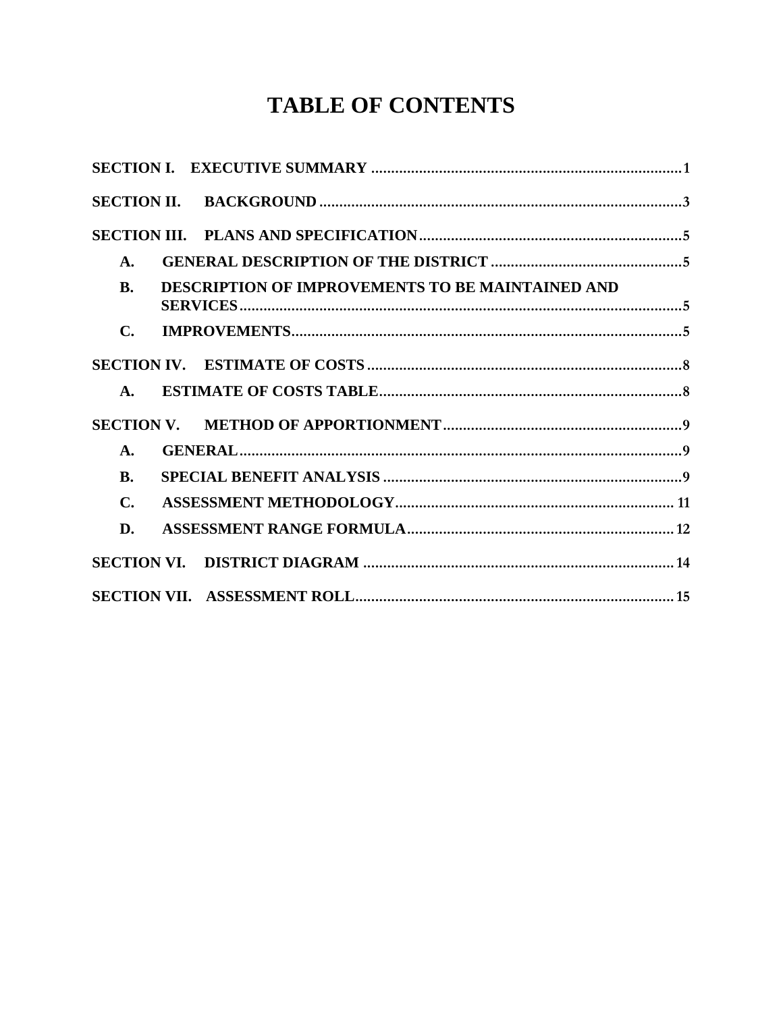# **TABLE OF CONTENTS**

| A.             |                                                         |  |
|----------------|---------------------------------------------------------|--|
| <b>B.</b>      | <b>DESCRIPTION OF IMPROVEMENTS TO BE MAINTAINED AND</b> |  |
| $\mathbf{C}$ . |                                                         |  |
|                |                                                         |  |
| $\mathbf{A}$ . |                                                         |  |
|                |                                                         |  |
| A.             |                                                         |  |
| <b>B.</b>      |                                                         |  |
| $\mathbf{C}$ . |                                                         |  |
| D.             |                                                         |  |
|                |                                                         |  |
|                |                                                         |  |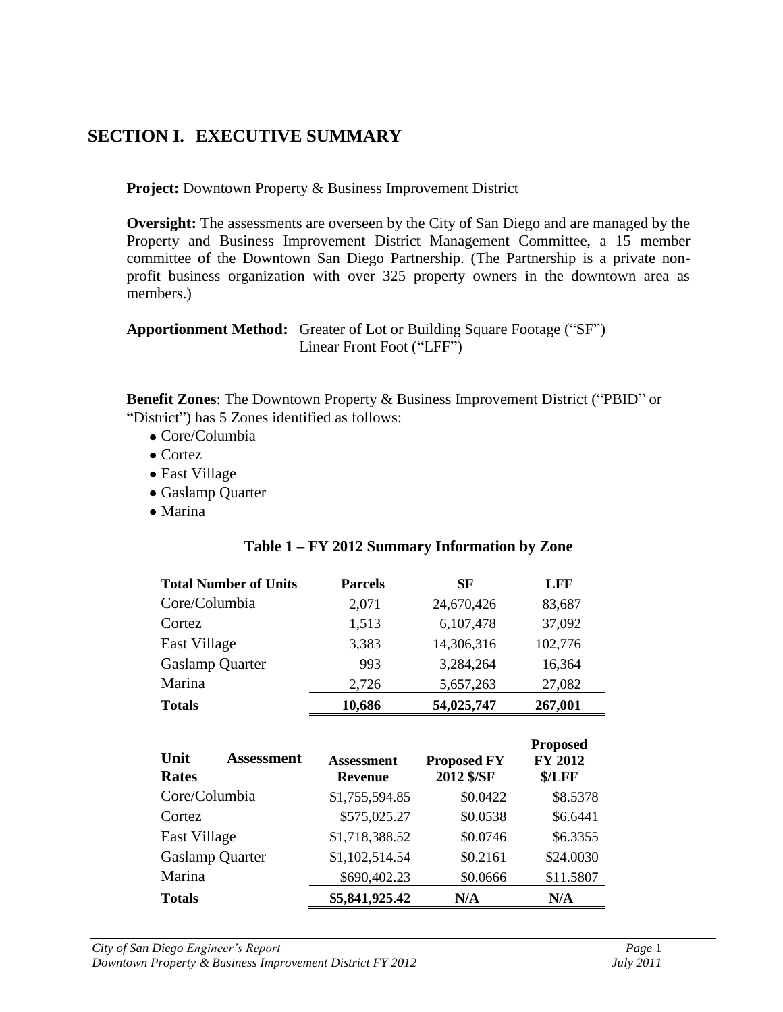## <span id="page-3-0"></span>**SECTION I. EXECUTIVE SUMMARY**

**Project:** Downtown Property & Business Improvement District

**Oversight:** The assessments are overseen by the City of San Diego and are managed by the Property and Business Improvement District Management Committee, a 15 member committee of the Downtown San Diego Partnership. (The Partnership is a private nonprofit business organization with over 325 property owners in the downtown area as members.)

**Apportionment Method:** Greater of Lot or Building Square Footage ("SF") Linear Front Foot ("LFF")

**Benefit Zones**: The Downtown Property & Business Improvement District ("PBID" or "District") has 5 Zones identified as follows:

- Core/Columbia
- Cortez
- East Village
- Gaslamp Quarter
- Marina

| <b>Total Number of Units</b> | <b>Parcels</b> | <b>SF</b>  | <b>LFF</b> |  |
|------------------------------|----------------|------------|------------|--|
| Core/Columbia                | 2,071          | 24,670,426 | 83,687     |  |
| Cortez                       | 1,513          | 6,107,478  | 37,092     |  |
| East Village                 | 3,383          | 14,306,316 | 102,776    |  |
| <b>Gaslamp Quarter</b>       | 993            | 3,284,264  | 16,364     |  |
| Marina                       | 2,726          | 5,657,263  | 27,082     |  |
| <b>Totals</b>                | 10,686         | 54,025,747 | 267,001    |  |

#### **Table 1 – FY 2012 Summary Information by Zone**

| Unit<br><b>Assessment</b><br><b>Rates</b> | <b>Assessment</b><br><b>Revenue</b> | <b>Proposed FY</b><br>2012 \$/SF | <b>Proposed</b><br><b>FY 2012</b><br>\$/LFF |
|-------------------------------------------|-------------------------------------|----------------------------------|---------------------------------------------|
| Core/Columbia                             | \$1,755,594.85                      | \$0.0422                         |                                             |
| Cortez                                    | \$575,025.27                        | \$0.0538                         | \$6.6441                                    |
| East Village                              | \$1,718,388.52                      | \$0.0746                         | \$6.3355                                    |
| <b>Gaslamp Quarter</b>                    | \$1,102,514.54                      | \$0.2161                         | \$24.0030                                   |
| Marina                                    | \$690,402.23                        | \$0.0666                         | \$11.5807                                   |
| <b>Totals</b>                             | \$5,841,925.42                      | N/A                              | N/A                                         |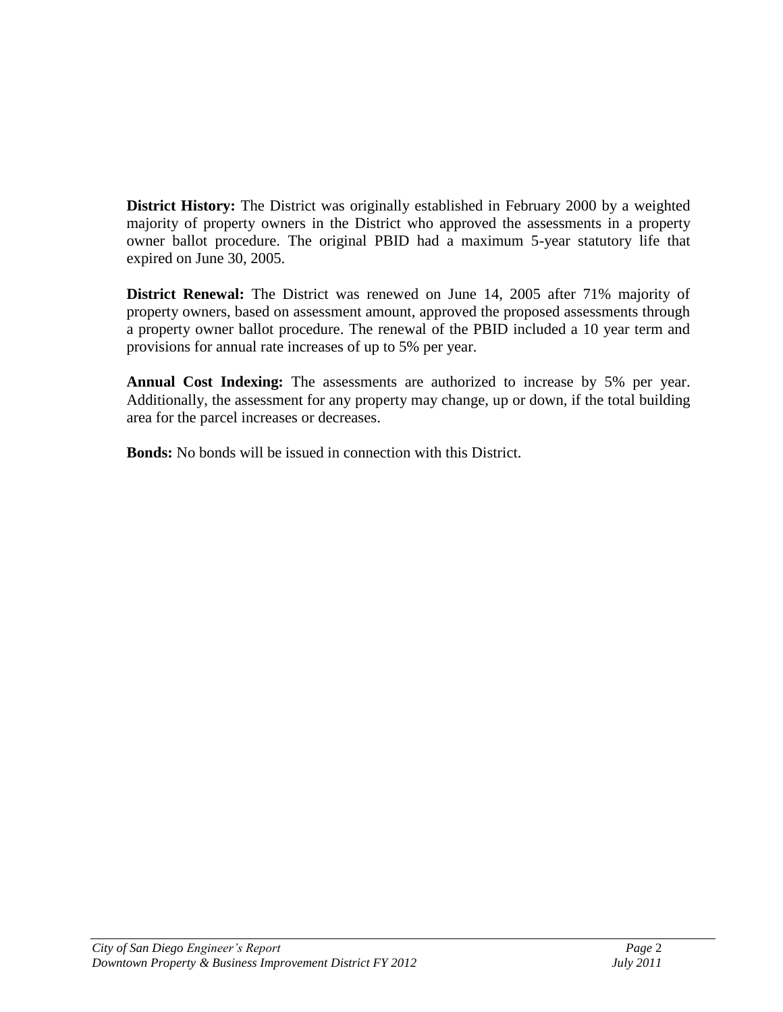**District History:** The District was originally established in February 2000 by a weighted majority of property owners in the District who approved the assessments in a property owner ballot procedure. The original PBID had a maximum 5-year statutory life that expired on June 30, 2005.

**District Renewal:** The District was renewed on June 14, 2005 after 71% majority of property owners, based on assessment amount, approved the proposed assessments through a property owner ballot procedure. The renewal of the PBID included a 10 year term and provisions for annual rate increases of up to 5% per year.

**Annual Cost Indexing:** The assessments are authorized to increase by 5% per year. Additionally, the assessment for any property may change, up or down, if the total building area for the parcel increases or decreases.

**Bonds:** No bonds will be issued in connection with this District.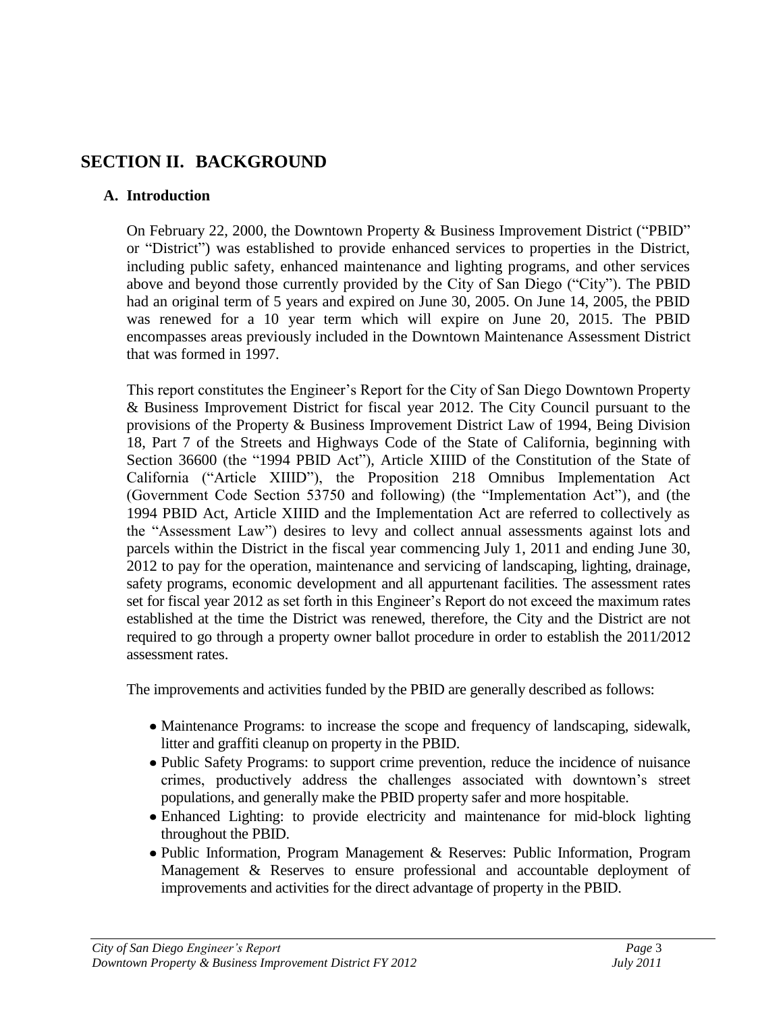## <span id="page-5-0"></span>**SECTION II. BACKGROUND**

#### **A. Introduction**

On February 22, 2000, the Downtown Property & Business Improvement District ("PBID" or "District") was established to provide enhanced services to properties in the District, including public safety, enhanced maintenance and lighting programs, and other services above and beyond those currently provided by the City of San Diego ("City"). The PBID had an original term of 5 years and expired on June 30, 2005. On June 14, 2005, the PBID was renewed for a 10 year term which will expire on June 20, 2015. The PBID encompasses areas previously included in the Downtown Maintenance Assessment District that was formed in 1997.

This report constitutes the Engineer's Report for the City of San Diego Downtown Property & Business Improvement District for fiscal year 2012. The City Council pursuant to the provisions of the Property & Business Improvement District Law of 1994, Being Division 18, Part 7 of the Streets and Highways Code of the State of California, beginning with Section 36600 (the "1994 PBID Act"), Article XIIID of the Constitution of the State of California ("Article XIIID"), the Proposition 218 Omnibus Implementation Act (Government Code Section 53750 and following) (the "Implementation Act"), and (the 1994 PBID Act, Article XIIID and the Implementation Act are referred to collectively as the "Assessment Law") desires to levy and collect annual assessments against lots and parcels within the District in the fiscal year commencing July 1, 2011 and ending June 30, 2012 to pay for the operation, maintenance and servicing of landscaping, lighting, drainage, safety programs, economic development and all appurtenant facilities. The assessment rates set for fiscal year 2012 as set forth in this Engineer's Report do not exceed the maximum rates established at the time the District was renewed, therefore, the City and the District are not required to go through a property owner ballot procedure in order to establish the 2011/2012 assessment rates.

The improvements and activities funded by the PBID are generally described as follows:

- Maintenance Programs: to increase the scope and frequency of landscaping, sidewalk, litter and graffiti cleanup on property in the PBID.
- Public Safety Programs: to support crime prevention, reduce the incidence of nuisance crimes, productively address the challenges associated with downtown's street populations, and generally make the PBID property safer and more hospitable.
- Enhanced Lighting: to provide electricity and maintenance for mid-block lighting throughout the PBID.
- Public Information, Program Management & Reserves: Public Information, Program Management & Reserves to ensure professional and accountable deployment of improvements and activities for the direct advantage of property in the PBID.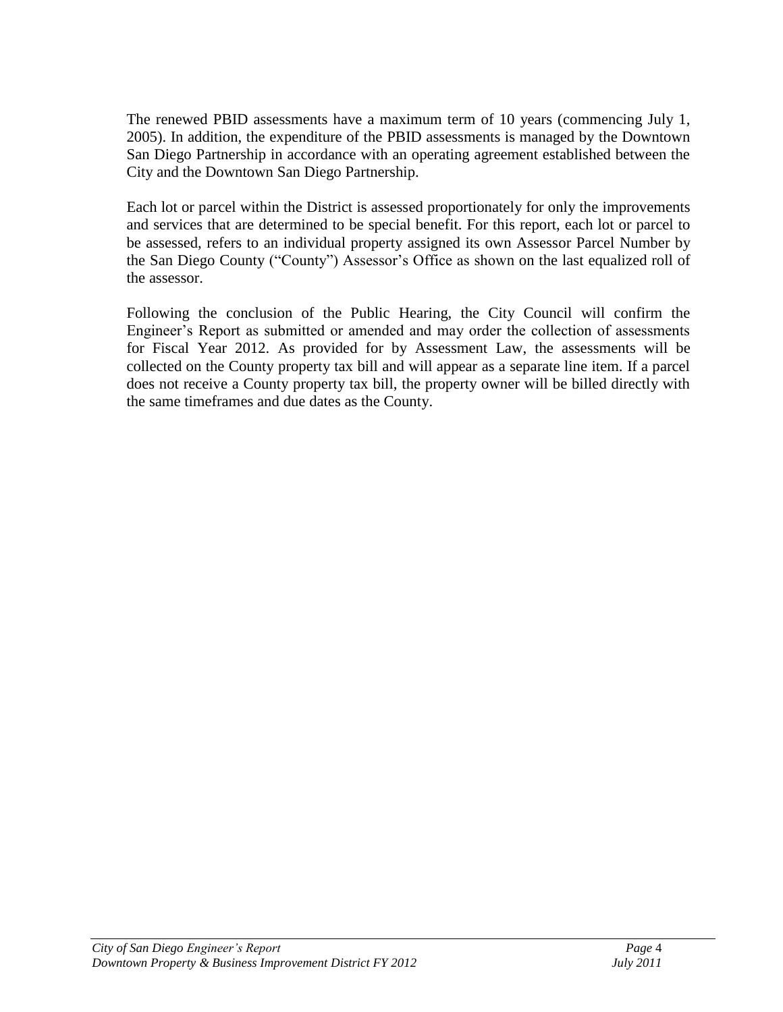The renewed PBID assessments have a maximum term of 10 years (commencing July 1, 2005). In addition, the expenditure of the PBID assessments is managed by the Downtown San Diego Partnership in accordance with an operating agreement established between the City and the Downtown San Diego Partnership.

Each lot or parcel within the District is assessed proportionately for only the improvements and services that are determined to be special benefit. For this report, each lot or parcel to be assessed, refers to an individual property assigned its own Assessor Parcel Number by the San Diego County ("County") Assessor's Office as shown on the last equalized roll of the assessor.

Following the conclusion of the Public Hearing, the City Council will confirm the Engineer's Report as submitted or amended and may order the collection of assessments for Fiscal Year 2012. As provided for by Assessment Law, the assessments will be collected on the County property tax bill and will appear as a separate line item. If a parcel does not receive a County property tax bill, the property owner will be billed directly with the same timeframes and due dates as the County.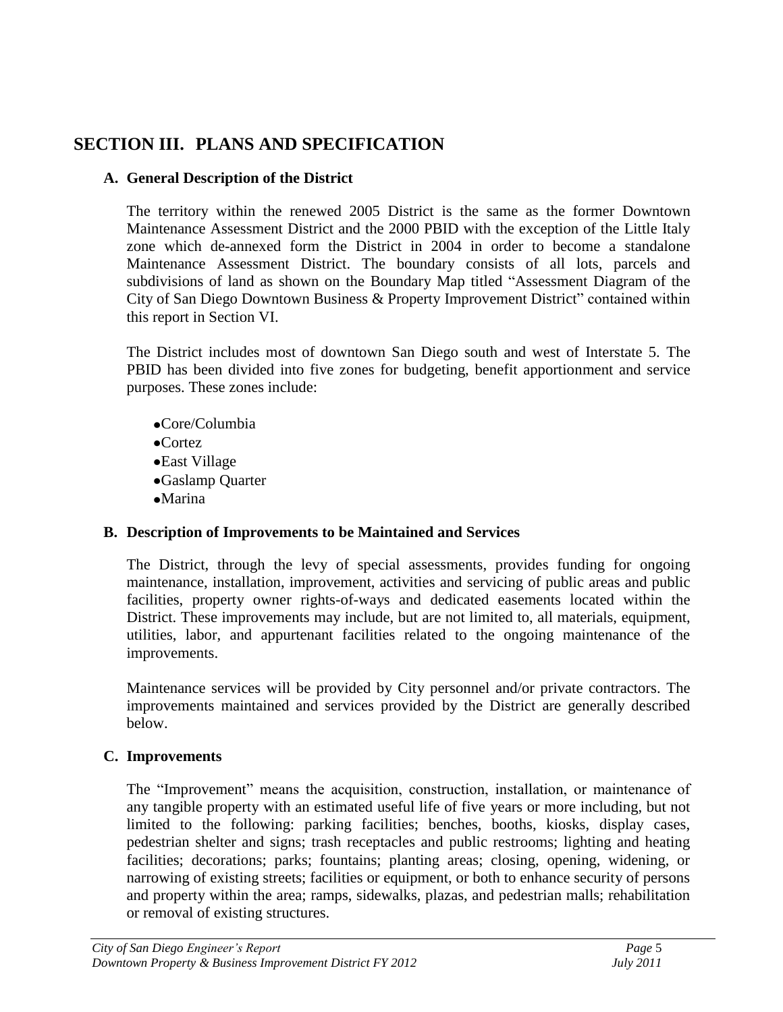## <span id="page-7-1"></span><span id="page-7-0"></span>**SECTION III. PLANS AND SPECIFICATION**

#### **A. General Description of the District**

The territory within the renewed 2005 District is the same as the former Downtown Maintenance Assessment District and the 2000 PBID with the exception of the Little Italy zone which de-annexed form the District in 2004 in order to become a standalone Maintenance Assessment District. The boundary consists of all lots, parcels and subdivisions of land as shown on the Boundary Map titled "Assessment Diagram of the City of San Diego Downtown Business & Property Improvement District" contained within this report in Section VI.

The District includes most of downtown San Diego south and west of Interstate 5. The PBID has been divided into five zones for budgeting, benefit apportionment and service purposes. These zones include:

- Core/Columbia
- Cortez
- East Village
- Gaslamp Quarter
- •Marina

#### <span id="page-7-2"></span>**B. Description of Improvements to be Maintained and Services**

The District, through the levy of special assessments, provides funding for ongoing maintenance, installation, improvement, activities and servicing of public areas and public facilities, property owner rights-of-ways and dedicated easements located within the District. These improvements may include, but are not limited to, all materials, equipment, utilities, labor, and appurtenant facilities related to the ongoing maintenance of the improvements.

Maintenance services will be provided by City personnel and/or private contractors. The improvements maintained and services provided by the District are generally described below.

#### <span id="page-7-3"></span>**C. Improvements**

The "Improvement" means the acquisition, construction, installation, or maintenance of any tangible property with an estimated useful life of five years or more including, but not limited to the following: parking facilities; benches, booths, kiosks, display cases, pedestrian shelter and signs; trash receptacles and public restrooms; lighting and heating facilities; decorations; parks; fountains; planting areas; closing, opening, widening, or narrowing of existing streets; facilities or equipment, or both to enhance security of persons and property within the area; ramps, sidewalks, plazas, and pedestrian malls; rehabilitation or removal of existing structures.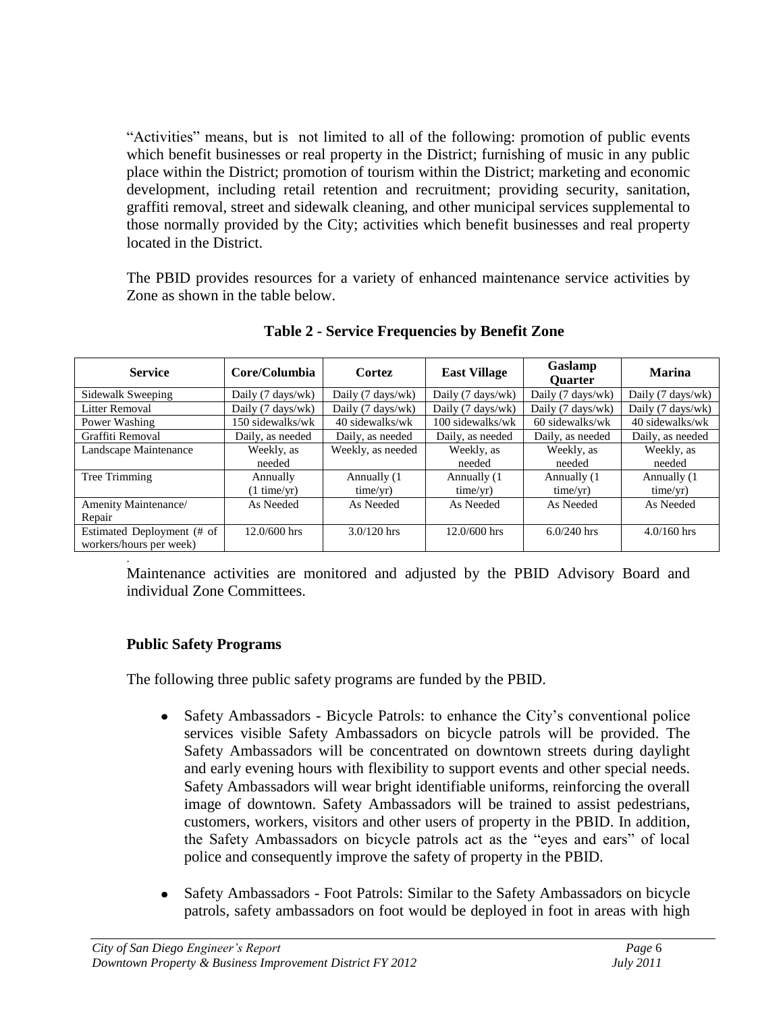"Activities" means, but is not limited to all of the following: promotion of public events which benefit businesses or real property in the District; furnishing of music in any public place within the District; promotion of tourism within the District; marketing and economic development, including retail retention and recruitment; providing security, sanitation, graffiti removal, street and sidewalk cleaning, and other municipal services supplemental to those normally provided by the City; activities which benefit businesses and real property located in the District.

The PBID provides resources for a variety of enhanced maintenance service activities by Zone as shown in the table below.

| <b>Service</b>             | Core/Columbia         | Cortez                             | <b>East Village</b> | Gaslamp<br><b>Ouarter</b> | <b>Marina</b>     |  |
|----------------------------|-----------------------|------------------------------------|---------------------|---------------------------|-------------------|--|
| Sidewalk Sweeping          | Daily (7 days/wk)     | Daily $(7 \text{ days}/\text{wk})$ | Daily (7 days/wk)   | Daily (7 days/wk)         | Daily (7 days/wk) |  |
| <b>Litter Removal</b>      | Daily (7 days/wk)     | Daily (7 days/wk)                  | Daily (7 days/wk)   | Daily (7 days/wk)         | Daily (7 days/wk) |  |
| Power Washing              | 150 sidewalks/wk      | 40 sidewalks/wk                    | 100 sidewalks/wk    | 60 sidewalks/wk           | 40 sidewalks/wk   |  |
| Graffiti Removal           | Daily, as needed      | Daily, as needed                   | Daily, as needed    | Daily, as needed          | Daily, as needed  |  |
| Landscape Maintenance      | Weekly, as            | Weekly, as needed                  | Weekly, as          | Weekly, as                | Weekly, as        |  |
|                            | needed                |                                    | needed              | needed                    | needed            |  |
| Tree Trimming              | Annually              | Annually (1)                       | Annually (1)        | Annually (1)              | Annually (1)      |  |
|                            | $(1 \text{ time/yr})$ | time/yr)                           | time/yr)            | time/yr)                  | time/yr)          |  |
| Amenity Maintenance/       | As Needed             | As Needed                          | As Needed           | As Needed                 | As Needed         |  |
| Repair                     |                       |                                    |                     |                           |                   |  |
| Estimated Deployment (# of | $12.0/600$ hrs        | $3.0/120$ hrs                      | $12.0/600$ hrs      | $6.0/240$ hrs             | $4.0/160$ hrs     |  |
| workers/hours per week)    |                       |                                    |                     |                           |                   |  |
|                            |                       |                                    |                     |                           |                   |  |

**Table 2 - Service Frequencies by Benefit Zone**

Maintenance activities are monitored and adjusted by the PBID Advisory Board and individual Zone Committees.

#### **Public Safety Programs**

The following three public safety programs are funded by the PBID.

- Safety Ambassadors Bicycle Patrols: to enhance the City's conventional police  $\bullet$ services visible Safety Ambassadors on bicycle patrols will be provided. The Safety Ambassadors will be concentrated on downtown streets during daylight and early evening hours with flexibility to support events and other special needs. Safety Ambassadors will wear bright identifiable uniforms, reinforcing the overall image of downtown. Safety Ambassadors will be trained to assist pedestrians, customers, workers, visitors and other users of property in the PBID. In addition, the Safety Ambassadors on bicycle patrols act as the "eyes and ears" of local police and consequently improve the safety of property in the PBID.
- Safety Ambassadors Foot Patrols: Similar to the Safety Ambassadors on bicycle patrols, safety ambassadors on foot would be deployed in foot in areas with high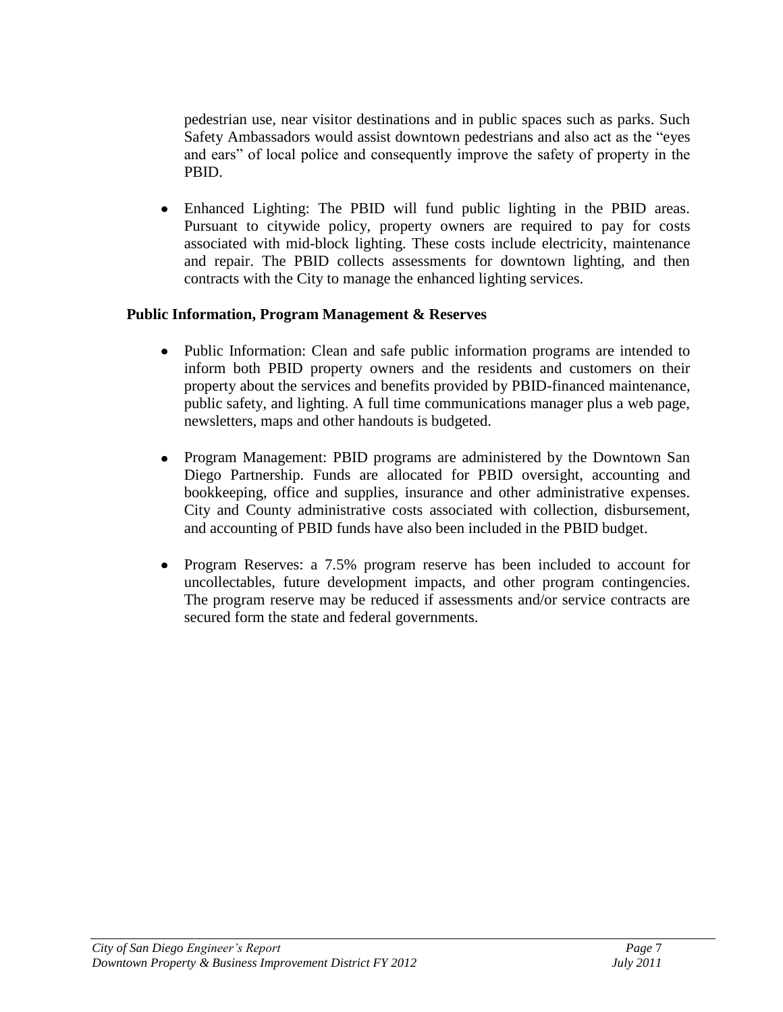pedestrian use, near visitor destinations and in public spaces such as parks. Such Safety Ambassadors would assist downtown pedestrians and also act as the "eyes and ears" of local police and consequently improve the safety of property in the PBID.

Enhanced Lighting: The PBID will fund public lighting in the PBID areas. Pursuant to citywide policy, property owners are required to pay for costs associated with mid-block lighting. These costs include electricity, maintenance and repair. The PBID collects assessments for downtown lighting, and then contracts with the City to manage the enhanced lighting services.

#### **Public Information, Program Management & Reserves**

- Public Information: Clean and safe public information programs are intended to  $\bullet$ inform both PBID property owners and the residents and customers on their property about the services and benefits provided by PBID-financed maintenance, public safety, and lighting. A full time communications manager plus a web page, newsletters, maps and other handouts is budgeted.
- Program Management: PBID programs are administered by the Downtown San Diego Partnership. Funds are allocated for PBID oversight, accounting and bookkeeping, office and supplies, insurance and other administrative expenses. City and County administrative costs associated with collection, disbursement, and accounting of PBID funds have also been included in the PBID budget.
- $\bullet$ Program Reserves: a 7.5% program reserve has been included to account for uncollectables, future development impacts, and other program contingencies. The program reserve may be reduced if assessments and/or service contracts are secured form the state and federal governments.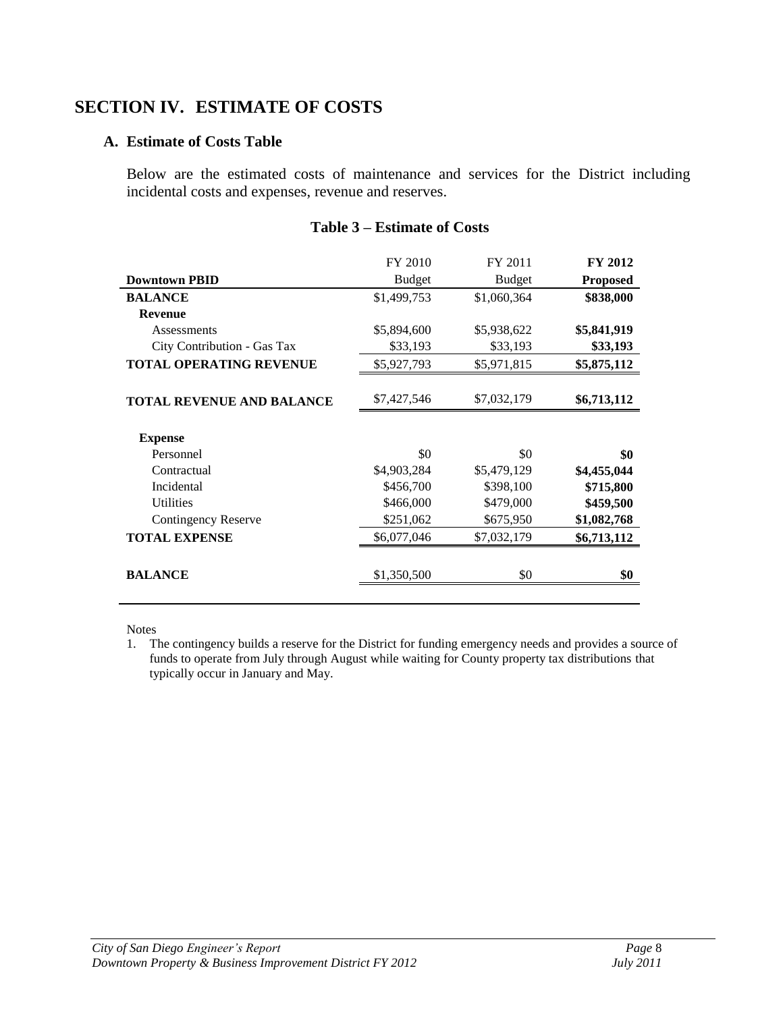## <span id="page-10-1"></span><span id="page-10-0"></span>**SECTION IV. ESTIMATE OF COSTS**

#### **A. Estimate of Costs Table**

Below are the estimated costs of maintenance and services for the District including incidental costs and expenses, revenue and reserves.

|                                  | FY 2010       | FY 2011       | FY 2012         |
|----------------------------------|---------------|---------------|-----------------|
| <b>Downtown PBID</b>             | <b>Budget</b> | <b>Budget</b> | <b>Proposed</b> |
| <b>BALANCE</b>                   | \$1,499,753   | \$1,060,364   | \$838,000       |
| <b>Revenue</b>                   |               |               |                 |
| Assessments                      | \$5,894,600   | \$5,938,622   | \$5,841,919     |
| City Contribution - Gas Tax      | \$33,193      | \$33,193      | \$33,193        |
| <b>TOTAL OPERATING REVENUE</b>   | \$5,927,793   | \$5,971,815   | \$5,875,112     |
|                                  |               |               |                 |
| <b>TOTAL REVENUE AND BALANCE</b> | \$7,427,546   | \$7,032,179   | \$6,713,112     |
|                                  |               |               |                 |
| <b>Expense</b>                   |               |               |                 |
| Personnel                        | \$0           | \$0           | \$0             |
| Contractual                      | \$4,903,284   | \$5,479,129   | \$4,455,044     |
| Incidental                       | \$456,700     | \$398,100     | \$715,800       |
| <b>Utilities</b>                 | \$466,000     | \$479,000     | \$459,500       |
| <b>Contingency Reserve</b>       | \$251,062     | \$675,950     | \$1,082,768     |
| <b>TOTAL EXPENSE</b>             | \$6,077,046   | \$7,032,179   | \$6,713,112     |
|                                  |               |               |                 |
| <b>BALANCE</b>                   | \$1,350,500   | \$0           | \$0             |
|                                  |               |               |                 |

#### **Table 3 – Estimate of Costs**

Notes

<sup>1.</sup> The contingency builds a reserve for the District for funding emergency needs and provides a source of funds to operate from July through August while waiting for County property tax distributions that typically occur in January and May.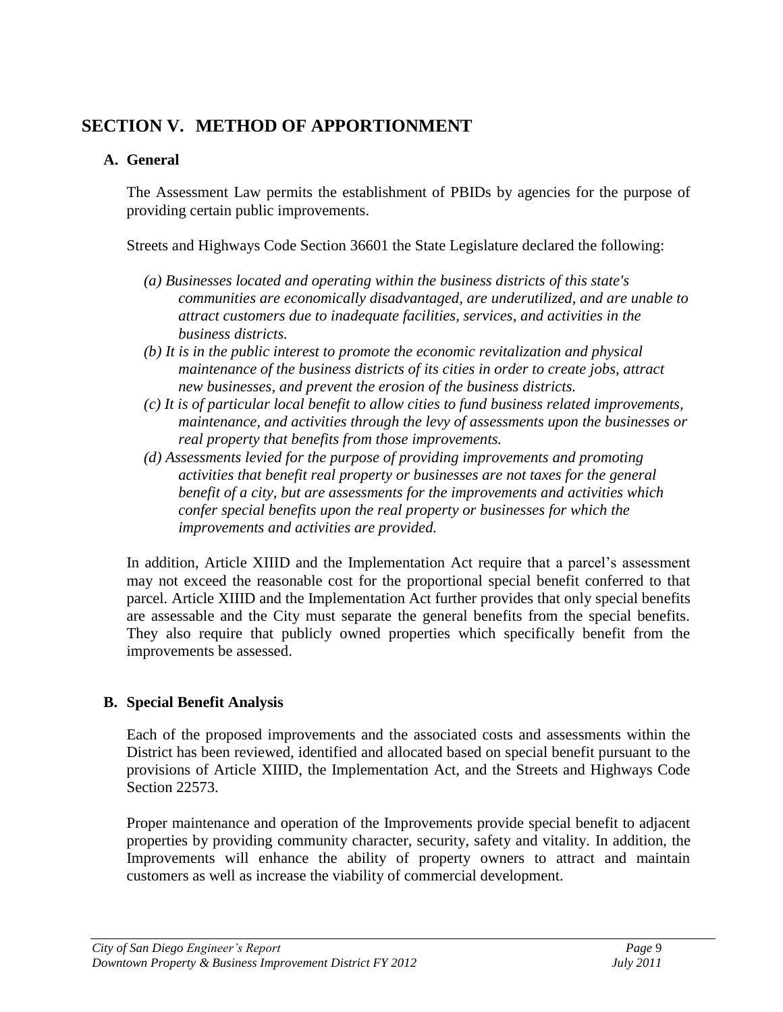## <span id="page-11-0"></span>**SECTION V. METHOD OF APPORTIONMENT**

## <span id="page-11-1"></span>**A. General**

The Assessment Law permits the establishment of PBIDs by agencies for the purpose of providing certain public improvements.

Streets and Highways Code Section 36601 the State Legislature declared the following:

- *(a) Businesses located and operating within the business districts of this state's communities are economically disadvantaged, are underutilized, and are unable to attract customers due to inadequate facilities, services, and activities in the business districts.*
- *(b) It is in the public interest to promote the economic revitalization and physical maintenance of the business districts of its cities in order to create jobs, attract new businesses, and prevent the erosion of the business districts.*
- *(c) It is of particular local benefit to allow cities to fund business related improvements, maintenance, and activities through the levy of assessments upon the businesses or real property that benefits from those improvements.*
- *(d) Assessments levied for the purpose of providing improvements and promoting activities that benefit real property or businesses are not taxes for the general benefit of a city, but are assessments for the improvements and activities which confer special benefits upon the real property or businesses for which the improvements and activities are provided.*

In addition, Article XIIID and the Implementation Act require that a parcel's assessment may not exceed the reasonable cost for the proportional special benefit conferred to that parcel. Article XIIID and the Implementation Act further provides that only special benefits are assessable and the City must separate the general benefits from the special benefits. They also require that publicly owned properties which specifically benefit from the improvements be assessed.

## <span id="page-11-2"></span>**B. Special Benefit Analysis**

Each of the proposed improvements and the associated costs and assessments within the District has been reviewed, identified and allocated based on special benefit pursuant to the provisions of Article XIIID, the Implementation Act, and the Streets and Highways Code Section 22573.

Proper maintenance and operation of the Improvements provide special benefit to adjacent properties by providing community character, security, safety and vitality. In addition, the Improvements will enhance the ability of property owners to attract and maintain customers as well as increase the viability of commercial development.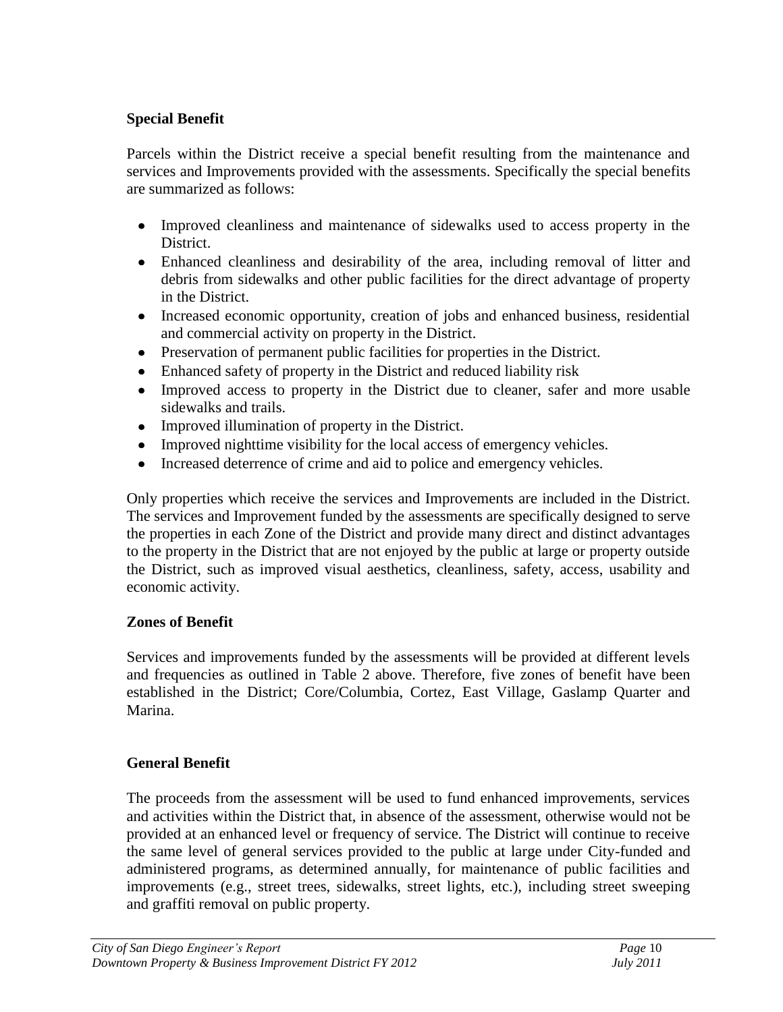#### **Special Benefit**

Parcels within the District receive a special benefit resulting from the maintenance and services and Improvements provided with the assessments. Specifically the special benefits are summarized as follows:

- Improved cleanliness and maintenance of sidewalks used to access property in the District.
- Enhanced cleanliness and desirability of the area, including removal of litter and debris from sidewalks and other public facilities for the direct advantage of property in the District.
- Increased economic opportunity, creation of jobs and enhanced business, residential and commercial activity on property in the District.
- Preservation of permanent public facilities for properties in the District.
- Enhanced safety of property in the District and reduced liability risk
- Improved access to property in the District due to cleaner, safer and more usable sidewalks and trails.
- Improved illumination of property in the District.
- Improved nighttime visibility for the local access of emergency vehicles.
- Increased deterrence of crime and aid to police and emergency vehicles.

Only properties which receive the services and Improvements are included in the District. The services and Improvement funded by the assessments are specifically designed to serve the properties in each Zone of the District and provide many direct and distinct advantages to the property in the District that are not enjoyed by the public at large or property outside the District, such as improved visual aesthetics, cleanliness, safety, access, usability and economic activity.

#### **Zones of Benefit**

Services and improvements funded by the assessments will be provided at different levels and frequencies as outlined in Table 2 above. Therefore, five zones of benefit have been established in the District; Core/Columbia, Cortez, East Village, Gaslamp Quarter and Marina.

#### **General Benefit**

The proceeds from the assessment will be used to fund enhanced improvements, services and activities within the District that, in absence of the assessment, otherwise would not be provided at an enhanced level or frequency of service. The District will continue to receive the same level of general services provided to the public at large under City-funded and administered programs, as determined annually, for maintenance of public facilities and improvements (e.g., street trees, sidewalks, street lights, etc.), including street sweeping and graffiti removal on public property.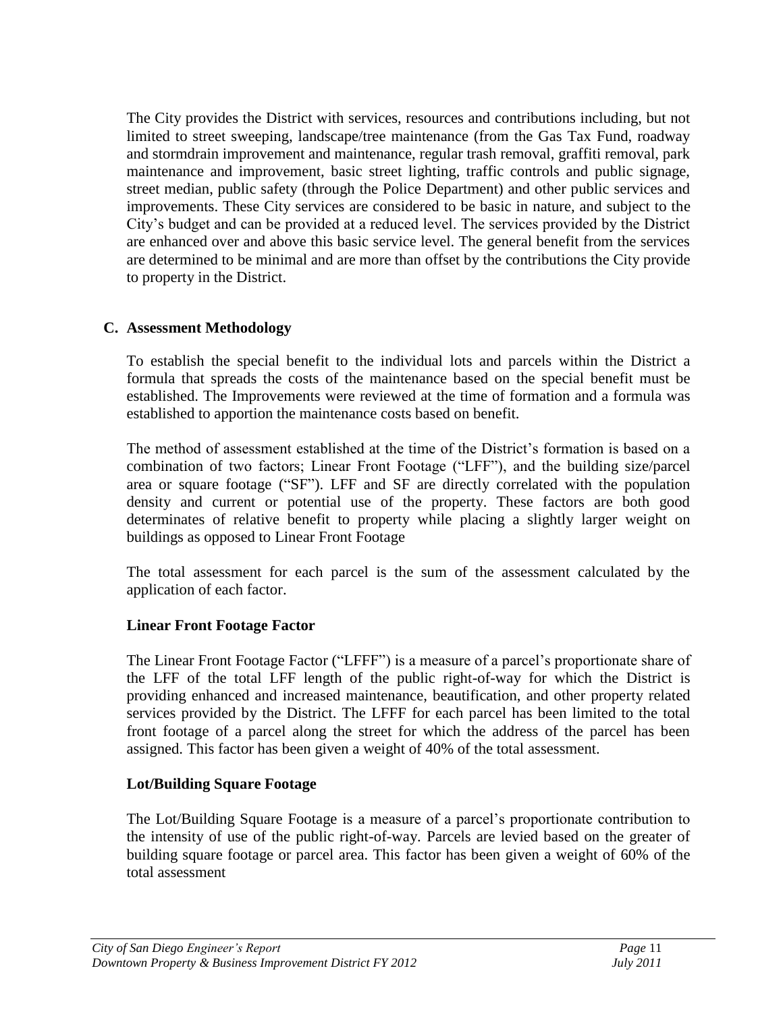The City provides the District with services, resources and contributions including, but not limited to street sweeping, landscape/tree maintenance (from the Gas Tax Fund, roadway and stormdrain improvement and maintenance, regular trash removal, graffiti removal, park maintenance and improvement, basic street lighting, traffic controls and public signage, street median, public safety (through the Police Department) and other public services and improvements. These City services are considered to be basic in nature, and subject to the City's budget and can be provided at a reduced level. The services provided by the District are enhanced over and above this basic service level. The general benefit from the services are determined to be minimal and are more than offset by the contributions the City provide to property in the District.

#### <span id="page-13-0"></span>**C. Assessment Methodology**

To establish the special benefit to the individual lots and parcels within the District a formula that spreads the costs of the maintenance based on the special benefit must be established. The Improvements were reviewed at the time of formation and a formula was established to apportion the maintenance costs based on benefit.

The method of assessment established at the time of the District's formation is based on a combination of two factors; Linear Front Footage ("LFF"), and the building size/parcel area or square footage ("SF"). LFF and SF are directly correlated with the population density and current or potential use of the property. These factors are both good determinates of relative benefit to property while placing a slightly larger weight on buildings as opposed to Linear Front Footage

The total assessment for each parcel is the sum of the assessment calculated by the application of each factor.

#### **Linear Front Footage Factor**

The Linear Front Footage Factor ("LFFF") is a measure of a parcel's proportionate share of the LFF of the total LFF length of the public right-of-way for which the District is providing enhanced and increased maintenance, beautification, and other property related services provided by the District. The LFFF for each parcel has been limited to the total front footage of a parcel along the street for which the address of the parcel has been assigned. This factor has been given a weight of 40% of the total assessment.

#### **Lot/Building Square Footage**

The Lot/Building Square Footage is a measure of a parcel's proportionate contribution to the intensity of use of the public right-of-way. Parcels are levied based on the greater of building square footage or parcel area. This factor has been given a weight of 60% of the total assessment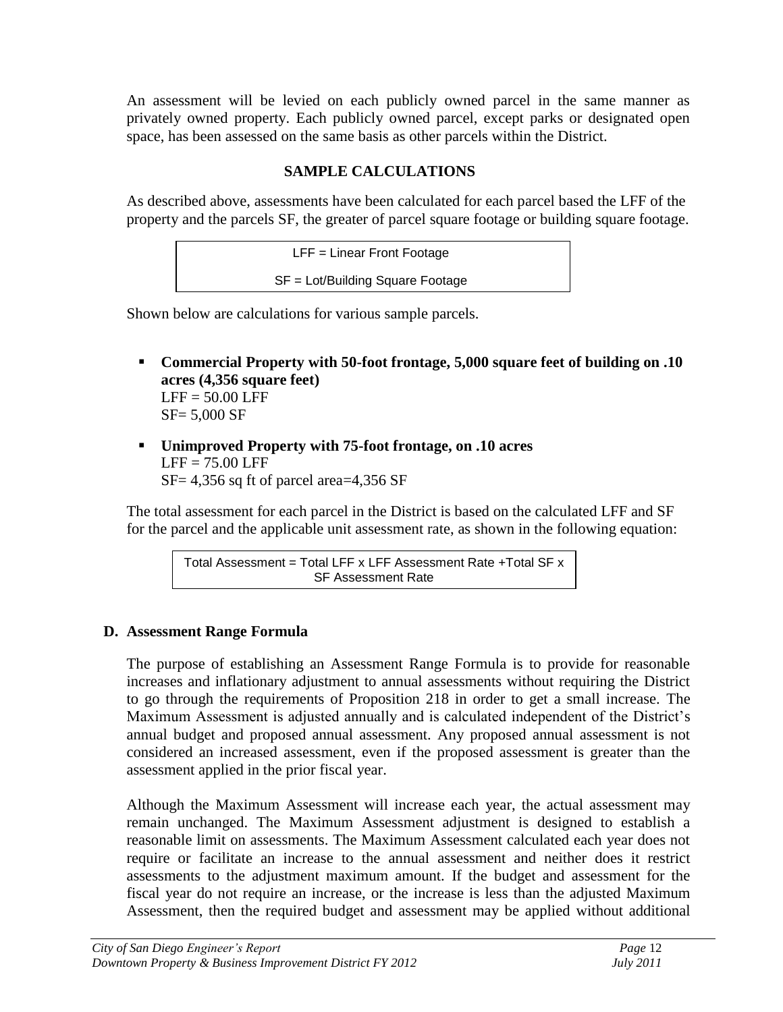An assessment will be levied on each publicly owned parcel in the same manner as privately owned property. Each publicly owned parcel, except parks or designated open space, has been assessed on the same basis as other parcels within the District.

## **SAMPLE CALCULATIONS**

As described above, assessments have been calculated for each parcel based the LFF of the property and the parcels SF, the greater of parcel square footage or building square footage.

LFF = Linear Front Footage SF = Lot/Building Square Footage

Shown below are calculations for various sample parcels.

- **Commercial Property with 50-foot frontage, 5,000 square feet of building on .10 acres (4,356 square feet)**  $LFF = 50.00$  LFF SF= 5,000 SF
- **Unimproved Property with 75-foot frontage, on .10 acres**  $LEF = 75.00$  LFF SF= 4,356 sq ft of parcel area=4,356 SF

The total assessment for each parcel in the District is based on the calculated LFF and SF for the parcel and the applicable unit assessment rate, as shown in the following equation:

> Total Assessment = Total LFF x LFF Assessment Rate +Total SF x SF Assessment Rate

## <span id="page-14-0"></span>**D. Assessment Range Formula**

The purpose of establishing an Assessment Range Formula is to provide for reasonable increases and inflationary adjustment to annual assessments without requiring the District to go through the requirements of Proposition 218 in order to get a small increase. The Maximum Assessment is adjusted annually and is calculated independent of the District's annual budget and proposed annual assessment. Any proposed annual assessment is not considered an increased assessment, even if the proposed assessment is greater than the assessment applied in the prior fiscal year.

Although the Maximum Assessment will increase each year, the actual assessment may remain unchanged. The Maximum Assessment adjustment is designed to establish a reasonable limit on assessments. The Maximum Assessment calculated each year does not require or facilitate an increase to the annual assessment and neither does it restrict assessments to the adjustment maximum amount. If the budget and assessment for the fiscal year do not require an increase, or the increase is less than the adjusted Maximum Assessment, then the required budget and assessment may be applied without additional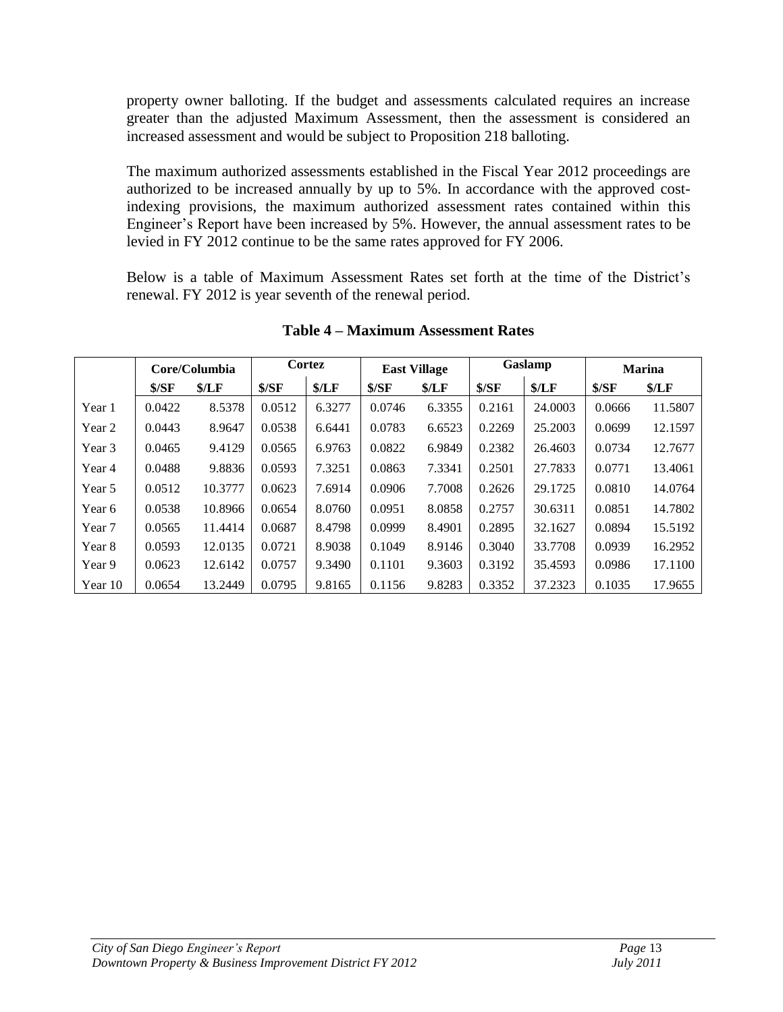property owner balloting. If the budget and assessments calculated requires an increase greater than the adjusted Maximum Assessment, then the assessment is considered an increased assessment and would be subject to Proposition 218 balloting.

The maximum authorized assessments established in the Fiscal Year 2012 proceedings are authorized to be increased annually by up to 5%. In accordance with the approved costindexing provisions, the maximum authorized assessment rates contained within this Engineer's Report have been increased by 5%. However, the annual assessment rates to be levied in FY 2012 continue to be the same rates approved for FY 2006.

Below is a table of Maximum Assessment Rates set forth at the time of the District's renewal. FY 2012 is year seventh of the renewal period.

|         | Core/Columbia |         | Cortez |        | <b>East Village</b> |        | Gaslamp |         | <b>Marina</b> |         |
|---------|---------------|---------|--------|--------|---------------------|--------|---------|---------|---------------|---------|
|         | S/SF          | \$/LF   | S/SF   | \$/LF  | \$/SF               | \$/LF  | \$/SF   | \$/LF   | \$/SF         | \$/LF   |
| Year 1  | 0.0422        | 8.5378  | 0.0512 | 6.3277 | 0.0746              | 6.3355 | 0.2161  | 24.0003 | 0.0666        | 11.5807 |
| Year 2  | 0.0443        | 8.9647  | 0.0538 | 6.6441 | 0.0783              | 6.6523 | 0.2269  | 25.2003 | 0.0699        | 12.1597 |
| Year 3  | 0.0465        | 9.4129  | 0.0565 | 6.9763 | 0.0822              | 6.9849 | 0.2382  | 26.4603 | 0.0734        | 12.7677 |
| Year 4  | 0.0488        | 9.8836  | 0.0593 | 7.3251 | 0.0863              | 7.3341 | 0.2501  | 27.7833 | 0.0771        | 13.4061 |
| Year 5  | 0.0512        | 10.3777 | 0.0623 | 7.6914 | 0.0906              | 7.7008 | 0.2626  | 29.1725 | 0.0810        | 14.0764 |
| Year 6  | 0.0538        | 10.8966 | 0.0654 | 8.0760 | 0.0951              | 8.0858 | 0.2757  | 30.6311 | 0.0851        | 14.7802 |
| Year 7  | 0.0565        | 11.4414 | 0.0687 | 8.4798 | 0.0999              | 8.4901 | 0.2895  | 32.1627 | 0.0894        | 15.5192 |
| Year 8  | 0.0593        | 12.0135 | 0.0721 | 8.9038 | 0.1049              | 8.9146 | 0.3040  | 33.7708 | 0.0939        | 16.2952 |
| Year 9  | 0.0623        | 12.6142 | 0.0757 | 9.3490 | 0.1101              | 9.3603 | 0.3192  | 35.4593 | 0.0986        | 17.1100 |
| Year 10 | 0.0654        | 13.2449 | 0.0795 | 9.8165 | 0.1156              | 9.8283 | 0.3352  | 37.2323 | 0.1035        | 17.9655 |

**Table 4 – Maximum Assessment Rates**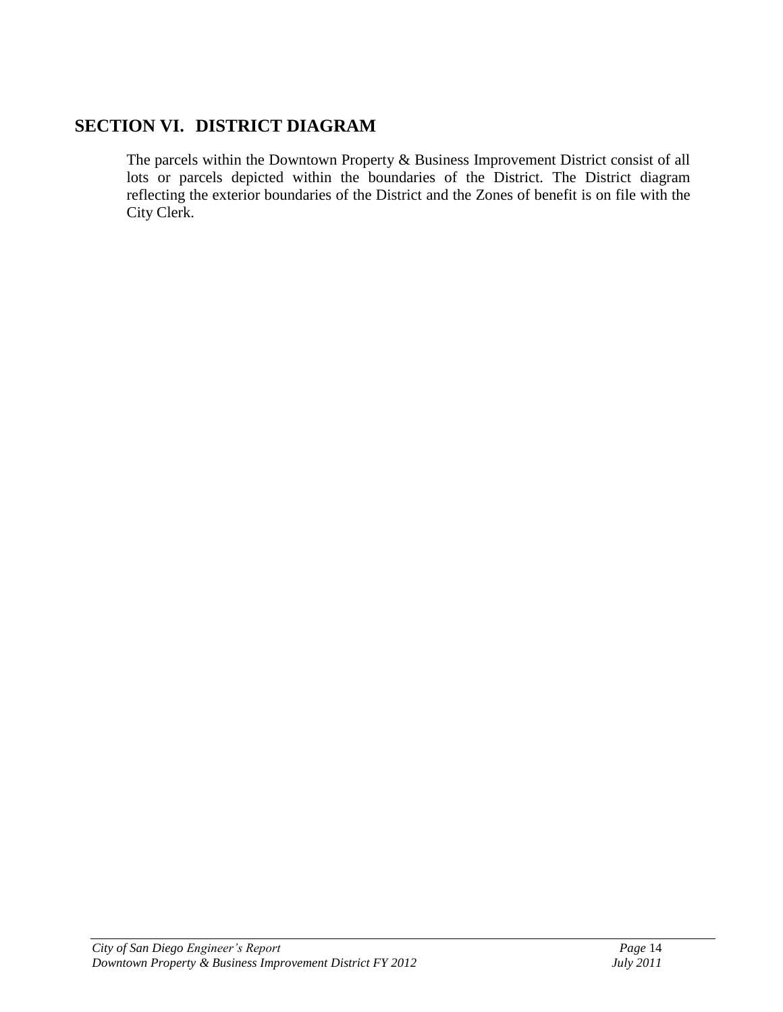## <span id="page-16-0"></span>**SECTION VI. DISTRICT DIAGRAM**

The parcels within the Downtown Property & Business Improvement District consist of all lots or parcels depicted within the boundaries of the District. The District diagram reflecting the exterior boundaries of the District and the Zones of benefit is on file with the City Clerk.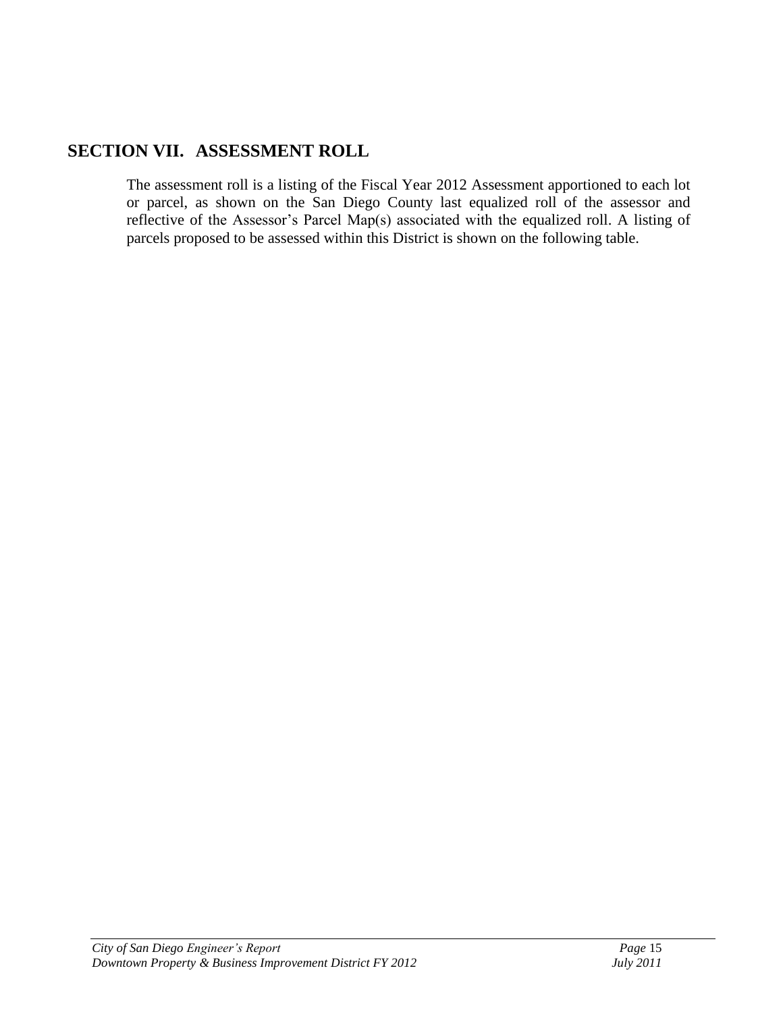## <span id="page-17-0"></span>**SECTION VII. ASSESSMENT ROLL**

The assessment roll is a listing of the Fiscal Year 2012 Assessment apportioned to each lot or parcel, as shown on the San Diego County last equalized roll of the assessor and reflective of the Assessor's Parcel Map(s) associated with the equalized roll. A listing of parcels proposed to be assessed within this District is shown on the following table.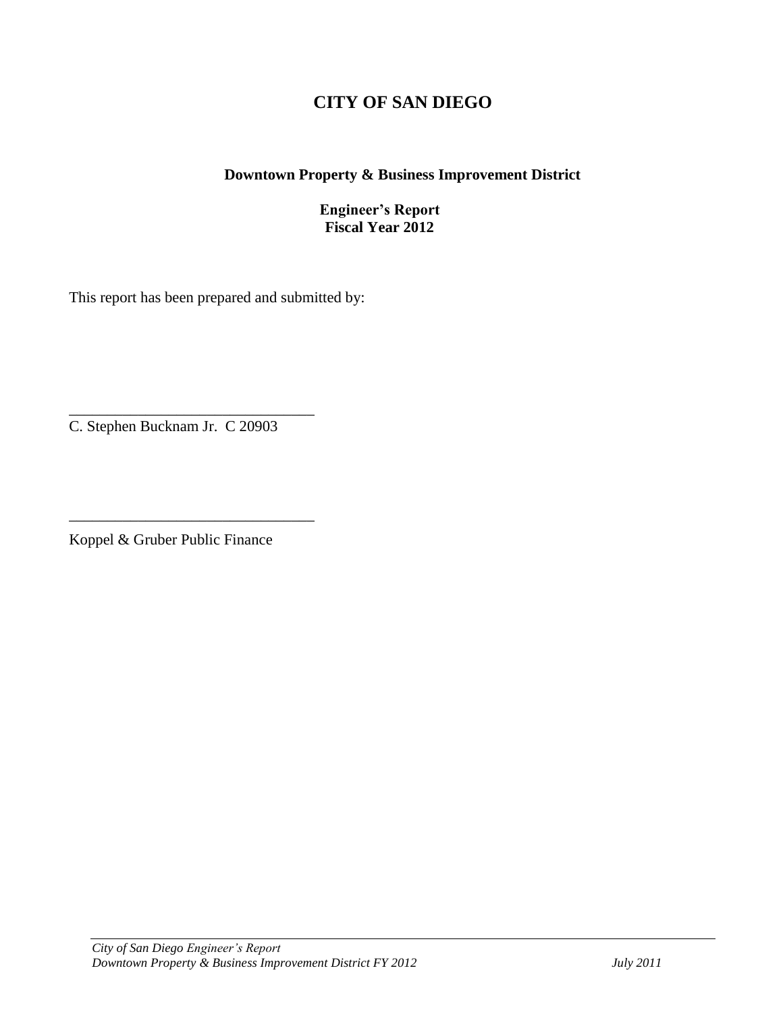## **CITY OF SAN DIEGO**

#### **Downtown Property & Business Improvement District**

#### **Engineer's Report Fiscal Year 2012**

This report has been prepared and submitted by:

\_\_\_\_\_\_\_\_\_\_\_\_\_\_\_\_\_\_\_\_\_\_\_\_\_\_\_\_\_\_\_\_ C. Stephen Bucknam Jr. C 20903

Koppel & Gruber Public Finance

\_\_\_\_\_\_\_\_\_\_\_\_\_\_\_\_\_\_\_\_\_\_\_\_\_\_\_\_\_\_\_\_